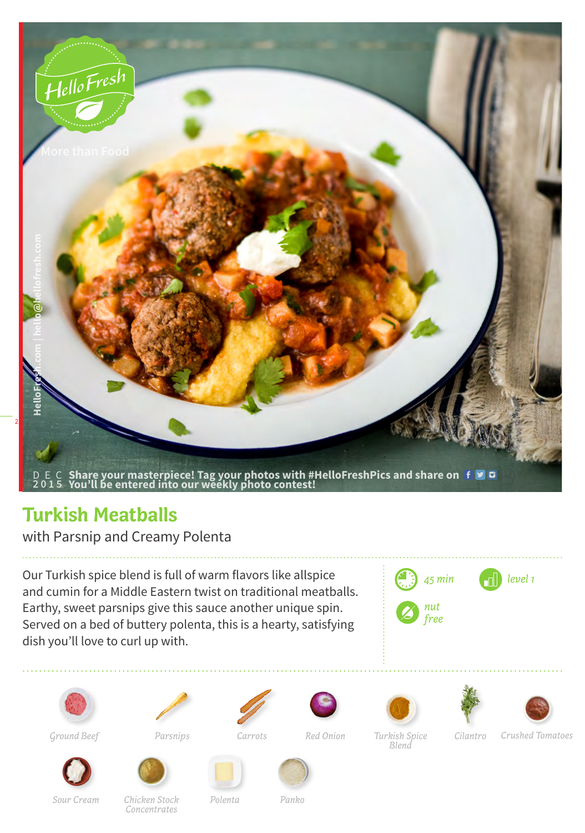

## **Turkish Meatballs**

with Parsnip and Creamy Polenta

Our Turkish spice blend is full of warm flavors like allspice and cumin for a Middle Eastern twist on traditional meatballs. Earthy, sweet parsnips give this sauce another unique spin. Served on a bed of buttery polenta, this is a hearty, satisfying dish you'll love to curl up with.

















*Carrots*

*Red Onion Turkish Spice Cilantro Blend*

*Ground Beef Parsnips Crushed Tomatoes*





*Sour Cream Chicken Stock Concentrates*

*Polenta Panko*